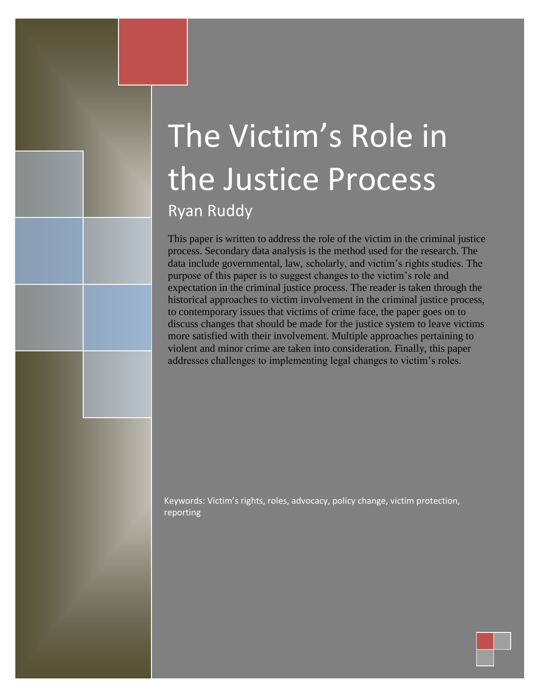# The Victim's Role in the Justice Process Ryan Ruddy

This paper is written to address the role of the victim in the criminal justice process. Secondary data analysis is the method used for the research. The data include governmental, law, scholarly, and victim's rights studies. The purpose of this paper is to suggest changes to the victim's role and expectation in the criminal justice process. The reader is taken through the historical approaches to victim involvement in the criminal justice process, to contemporary issues that victims of crime face, the paper goes on to discuss changes that should be made for the justice system to leave victims more satisfied with their involvement. Multiple approaches pertaining to violent and minor crime are taken into consideration. Finally, this paper addresses challenges to implementing legal changes to victim's roles.

Keywords: Victim's rights, roles, advocacy, policy change, victim protection, reporting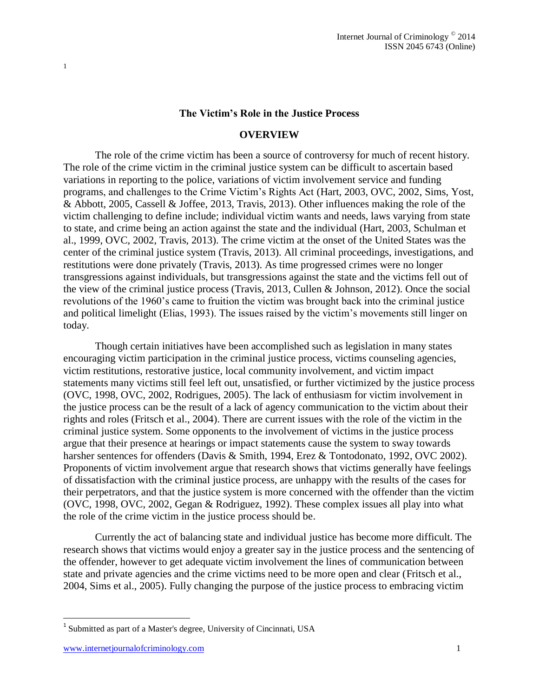#### **The Victim's Role in the Justice Process**

#### **OVERVIEW**

The role of the crime victim has been a source of controversy for much of recent history. The role of the crime victim in the criminal justice system can be difficult to ascertain based variations in reporting to the police, variations of victim involvement service and funding programs, and challenges to the Crime Victim's Rights Act (Hart, 2003, OVC, 2002, Sims, Yost, & Abbott, 2005, Cassell & Joffee, 2013, Travis, 2013). Other influences making the role of the victim challenging to define include; individual victim wants and needs, laws varying from state to state, and crime being an action against the state and the individual (Hart, 2003, Schulman et al., 1999, OVC, 2002, Travis, 2013). The crime victim at the onset of the United States was the center of the criminal justice system (Travis, 2013). All criminal proceedings, investigations, and restitutions were done privately (Travis, 2013). As time progressed crimes were no longer transgressions against individuals, but transgressions against the state and the victims fell out of the view of the criminal justice process (Travis, 2013, Cullen & Johnson, 2012). Once the social revolutions of the 1960's came to fruition the victim was brought back into the criminal justice and political limelight (Elias, 1993). The issues raised by the victim's movements still linger on today.

Though certain initiatives have been accomplished such as legislation in many states encouraging victim participation in the criminal justice process, victims counseling agencies, victim restitutions, restorative justice, local community involvement, and victim impact statements many victims still feel left out, unsatisfied, or further victimized by the justice process (OVC, 1998, OVC, 2002, Rodrigues, 2005). The lack of enthusiasm for victim involvement in the justice process can be the result of a lack of agency communication to the victim about their rights and roles (Fritsch et al., 2004). There are current issues with the role of the victim in the criminal justice system. Some opponents to the involvement of victims in the justice process argue that their presence at hearings or impact statements cause the system to sway towards harsher sentences for offenders (Davis & Smith, 1994, Erez & Tontodonato, 1992, OVC 2002). Proponents of victim involvement argue that research shows that victims generally have feelings of dissatisfaction with the criminal justice process, are unhappy with the results of the cases for their perpetrators, and that the justice system is more concerned with the offender than the victim (OVC, 1998, OVC, 2002, Gegan & Rodriguez, 1992). These complex issues all play into what the role of the crime victim in the justice process should be.

Currently the act of balancing state and individual justice has become more difficult. The research shows that victims would enjoy a greater say in the justice process and the sentencing of the offender, however to get adequate victim involvement the lines of communication between state and private agencies and the crime victims need to be more open and clear (Fritsch et al., 2004, Sims et al., 2005). Fully changing the purpose of the justice process to embracing victim

l

<sup>&</sup>lt;sup>1</sup> Submitted as part of a Master's degree, University of Cincinnati, USA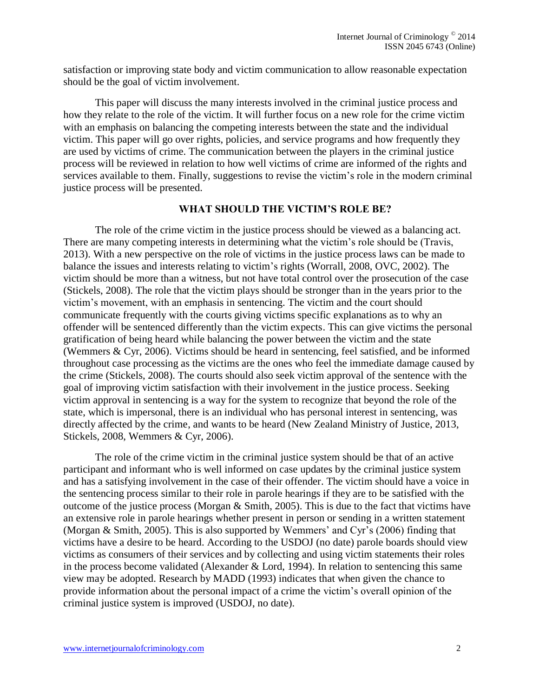satisfaction or improving state body and victim communication to allow reasonable expectation should be the goal of victim involvement.

This paper will discuss the many interests involved in the criminal justice process and how they relate to the role of the victim. It will further focus on a new role for the crime victim with an emphasis on balancing the competing interests between the state and the individual victim. This paper will go over rights, policies, and service programs and how frequently they are used by victims of crime. The communication between the players in the criminal justice process will be reviewed in relation to how well victims of crime are informed of the rights and services available to them. Finally, suggestions to revise the victim's role in the modern criminal justice process will be presented.

#### **WHAT SHOULD THE VICTIM'S ROLE BE?**

The role of the crime victim in the justice process should be viewed as a balancing act. There are many competing interests in determining what the victim's role should be (Travis, 2013). With a new perspective on the role of victims in the justice process laws can be made to balance the issues and interests relating to victim's rights (Worrall, 2008, OVC, 2002). The victim should be more than a witness, but not have total control over the prosecution of the case (Stickels, 2008). The role that the victim plays should be stronger than in the years prior to the victim's movement, with an emphasis in sentencing. The victim and the court should communicate frequently with the courts giving victims specific explanations as to why an offender will be sentenced differently than the victim expects. This can give victims the personal gratification of being heard while balancing the power between the victim and the state (Wemmers & Cyr, 2006). Victims should be heard in sentencing, feel satisfied, and be informed throughout case processing as the victims are the ones who feel the immediate damage caused by the crime (Stickels, 2008). The courts should also seek victim approval of the sentence with the goal of improving victim satisfaction with their involvement in the justice process. Seeking victim approval in sentencing is a way for the system to recognize that beyond the role of the state, which is impersonal, there is an individual who has personal interest in sentencing, was directly affected by the crime, and wants to be heard (New Zealand Ministry of Justice, 2013, Stickels, 2008, Wemmers & Cyr, 2006).

The role of the crime victim in the criminal justice system should be that of an active participant and informant who is well informed on case updates by the criminal justice system and has a satisfying involvement in the case of their offender. The victim should have a voice in the sentencing process similar to their role in parole hearings if they are to be satisfied with the outcome of the justice process (Morgan & Smith, 2005). This is due to the fact that victims have an extensive role in parole hearings whether present in person or sending in a written statement (Morgan & Smith, 2005). This is also supported by Wemmers' and Cyr's (2006) finding that victims have a desire to be heard. According to the USDOJ (no date) parole boards should view victims as consumers of their services and by collecting and using victim statements their roles in the process become validated (Alexander & Lord, 1994). In relation to sentencing this same view may be adopted. Research by MADD (1993) indicates that when given the chance to provide information about the personal impact of a crime the victim's overall opinion of the criminal justice system is improved (USDOJ, no date).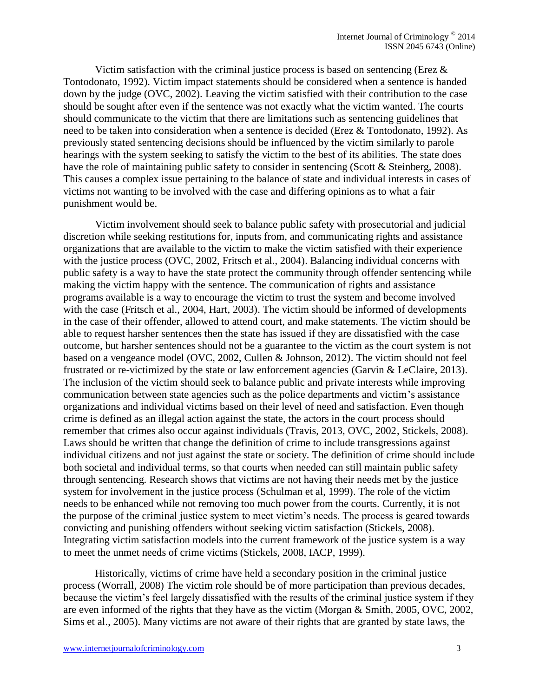Victim satisfaction with the criminal justice process is based on sentencing (Erez  $\&$ Tontodonato, 1992). Victim impact statements should be considered when a sentence is handed down by the judge (OVC, 2002). Leaving the victim satisfied with their contribution to the case should be sought after even if the sentence was not exactly what the victim wanted. The courts should communicate to the victim that there are limitations such as sentencing guidelines that need to be taken into consideration when a sentence is decided (Erez & Tontodonato, 1992). As previously stated sentencing decisions should be influenced by the victim similarly to parole hearings with the system seeking to satisfy the victim to the best of its abilities. The state does have the role of maintaining public safety to consider in sentencing (Scott & Steinberg, 2008). This causes a complex issue pertaining to the balance of state and individual interests in cases of victims not wanting to be involved with the case and differing opinions as to what a fair punishment would be.

Victim involvement should seek to balance public safety with prosecutorial and judicial discretion while seeking restitutions for, inputs from, and communicating rights and assistance organizations that are available to the victim to make the victim satisfied with their experience with the justice process (OVC, 2002, Fritsch et al., 2004). Balancing individual concerns with public safety is a way to have the state protect the community through offender sentencing while making the victim happy with the sentence. The communication of rights and assistance programs available is a way to encourage the victim to trust the system and become involved with the case (Fritsch et al., 2004, Hart, 2003). The victim should be informed of developments in the case of their offender, allowed to attend court, and make statements. The victim should be able to request harsher sentences then the state has issued if they are dissatisfied with the case outcome, but harsher sentences should not be a guarantee to the victim as the court system is not based on a vengeance model (OVC, 2002, Cullen & Johnson, 2012). The victim should not feel frustrated or re-victimized by the state or law enforcement agencies (Garvin & LeClaire, 2013). The inclusion of the victim should seek to balance public and private interests while improving communication between state agencies such as the police departments and victim's assistance organizations and individual victims based on their level of need and satisfaction. Even though crime is defined as an illegal action against the state, the actors in the court process should remember that crimes also occur against individuals (Travis, 2013, OVC, 2002, Stickels, 2008). Laws should be written that change the definition of crime to include transgressions against individual citizens and not just against the state or society. The definition of crime should include both societal and individual terms, so that courts when needed can still maintain public safety through sentencing. Research shows that victims are not having their needs met by the justice system for involvement in the justice process (Schulman et al, 1999). The role of the victim needs to be enhanced while not removing too much power from the courts. Currently, it is not the purpose of the criminal justice system to meet victim's needs. The process is geared towards convicting and punishing offenders without seeking victim satisfaction (Stickels, 2008). Integrating victim satisfaction models into the current framework of the justice system is a way to meet the unmet needs of crime victims (Stickels, 2008, IACP, 1999).

Historically, victims of crime have held a secondary position in the criminal justice process (Worrall, 2008) The victim role should be of more participation than previous decades, because the victim's feel largely dissatisfied with the results of the criminal justice system if they are even informed of the rights that they have as the victim (Morgan & Smith, 2005, OVC, 2002, Sims et al., 2005). Many victims are not aware of their rights that are granted by state laws, the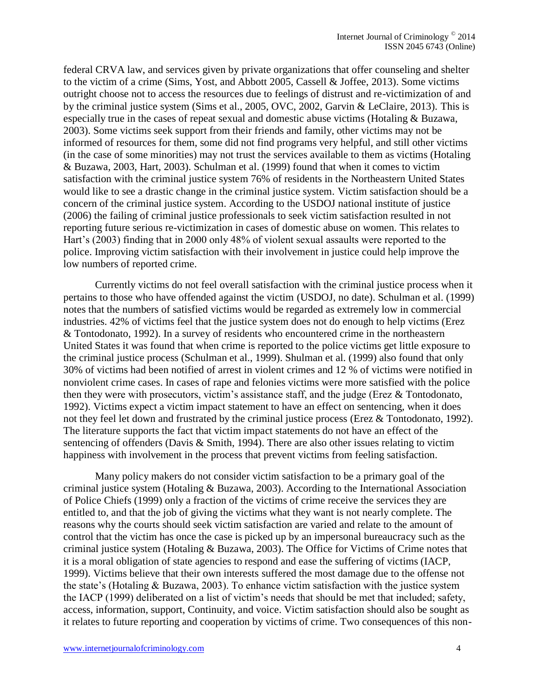federal CRVA law, and services given by private organizations that offer counseling and shelter to the victim of a crime (Sims, Yost, and Abbott 2005, Cassell & Joffee, 2013). Some victims outright choose not to access the resources due to feelings of distrust and re-victimization of and by the criminal justice system (Sims et al., 2005, OVC, 2002, Garvin & LeClaire, 2013). This is especially true in the cases of repeat sexual and domestic abuse victims (Hotaling & Buzawa, 2003). Some victims seek support from their friends and family, other victims may not be informed of resources for them, some did not find programs very helpful, and still other victims (in the case of some minorities) may not trust the services available to them as victims (Hotaling & Buzawa, 2003, Hart, 2003). Schulman et al. (1999) found that when it comes to victim satisfaction with the criminal justice system 76% of residents in the Northeastern United States would like to see a drastic change in the criminal justice system. Victim satisfaction should be a concern of the criminal justice system. According to the USDOJ national institute of justice (2006) the failing of criminal justice professionals to seek victim satisfaction resulted in not reporting future serious re-victimization in cases of domestic abuse on women. This relates to Hart's (2003) finding that in 2000 only 48% of violent sexual assaults were reported to the police. Improving victim satisfaction with their involvement in justice could help improve the low numbers of reported crime.

Currently victims do not feel overall satisfaction with the criminal justice process when it pertains to those who have offended against the victim (USDOJ, no date). Schulman et al. (1999) notes that the numbers of satisfied victims would be regarded as extremely low in commercial industries. 42% of victims feel that the justice system does not do enough to help victims (Erez & Tontodonato, 1992). In a survey of residents who encountered crime in the northeastern United States it was found that when crime is reported to the police victims get little exposure to the criminal justice process (Schulman et al., 1999). Shulman et al. (1999) also found that only 30% of victims had been notified of arrest in violent crimes and 12 % of victims were notified in nonviolent crime cases. In cases of rape and felonies victims were more satisfied with the police then they were with prosecutors, victim's assistance staff, and the judge (Erez & Tontodonato, 1992). Victims expect a victim impact statement to have an effect on sentencing, when it does not they feel let down and frustrated by the criminal justice process (Erez & Tontodonato, 1992). The literature supports the fact that victim impact statements do not have an effect of the sentencing of offenders (Davis & Smith, 1994). There are also other issues relating to victim happiness with involvement in the process that prevent victims from feeling satisfaction.

Many policy makers do not consider victim satisfaction to be a primary goal of the criminal justice system (Hotaling & Buzawa, 2003). According to the International Association of Police Chiefs (1999) only a fraction of the victims of crime receive the services they are entitled to, and that the job of giving the victims what they want is not nearly complete. The reasons why the courts should seek victim satisfaction are varied and relate to the amount of control that the victim has once the case is picked up by an impersonal bureaucracy such as the criminal justice system (Hotaling & Buzawa, 2003). The Office for Victims of Crime notes that it is a moral obligation of state agencies to respond and ease the suffering of victims (IACP, 1999). Victims believe that their own interests suffered the most damage due to the offense not the state's (Hotaling & Buzawa, 2003). To enhance victim satisfaction with the justice system the IACP (1999) deliberated on a list of victim's needs that should be met that included; safety, access, information, support, Continuity, and voice. Victim satisfaction should also be sought as it relates to future reporting and cooperation by victims of crime. Two consequences of this non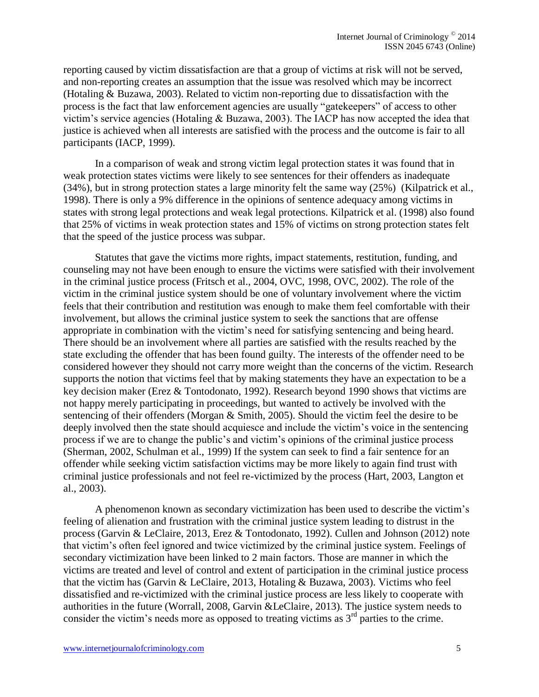reporting caused by victim dissatisfaction are that a group of victims at risk will not be served, and non-reporting creates an assumption that the issue was resolved which may be incorrect (Hotaling & Buzawa, 2003). Related to victim non-reporting due to dissatisfaction with the process is the fact that law enforcement agencies are usually "gatekeepers" of access to other victim's service agencies (Hotaling & Buzawa, 2003). The IACP has now accepted the idea that justice is achieved when all interests are satisfied with the process and the outcome is fair to all participants (IACP, 1999).

In a comparison of weak and strong victim legal protection states it was found that in weak protection states victims were likely to see sentences for their offenders as inadequate (34%), but in strong protection states a large minority felt the same way (25%) (Kilpatrick et al., 1998). There is only a 9% difference in the opinions of sentence adequacy among victims in states with strong legal protections and weak legal protections. Kilpatrick et al. (1998) also found that 25% of victims in weak protection states and 15% of victims on strong protection states felt that the speed of the justice process was subpar.

Statutes that gave the victims more rights, impact statements, restitution, funding, and counseling may not have been enough to ensure the victims were satisfied with their involvement in the criminal justice process (Fritsch et al., 2004, OVC, 1998, OVC, 2002). The role of the victim in the criminal justice system should be one of voluntary involvement where the victim feels that their contribution and restitution was enough to make them feel comfortable with their involvement, but allows the criminal justice system to seek the sanctions that are offense appropriate in combination with the victim's need for satisfying sentencing and being heard. There should be an involvement where all parties are satisfied with the results reached by the state excluding the offender that has been found guilty. The interests of the offender need to be considered however they should not carry more weight than the concerns of the victim. Research supports the notion that victims feel that by making statements they have an expectation to be a key decision maker (Erez & Tontodonato, 1992). Research beyond 1990 shows that victims are not happy merely participating in proceedings, but wanted to actively be involved with the sentencing of their offenders (Morgan & Smith, 2005). Should the victim feel the desire to be deeply involved then the state should acquiesce and include the victim's voice in the sentencing process if we are to change the public's and victim's opinions of the criminal justice process (Sherman, 2002, Schulman et al., 1999) If the system can seek to find a fair sentence for an offender while seeking victim satisfaction victims may be more likely to again find trust with criminal justice professionals and not feel re-victimized by the process (Hart, 2003, Langton et al., 2003).

A phenomenon known as secondary victimization has been used to describe the victim's feeling of alienation and frustration with the criminal justice system leading to distrust in the process (Garvin & LeClaire, 2013, Erez & Tontodonato, 1992). Cullen and Johnson (2012) note that victim's often feel ignored and twice victimized by the criminal justice system. Feelings of secondary victimization have been linked to 2 main factors. Those are manner in which the victims are treated and level of control and extent of participation in the criminal justice process that the victim has (Garvin & LeClaire, 2013, Hotaling & Buzawa, 2003). Victims who feel dissatisfied and re-victimized with the criminal justice process are less likely to cooperate with authorities in the future (Worrall, 2008, Garvin &LeClaire, 2013). The justice system needs to consider the victim's needs more as opposed to treating victims as  $3<sup>rd</sup>$  parties to the crime.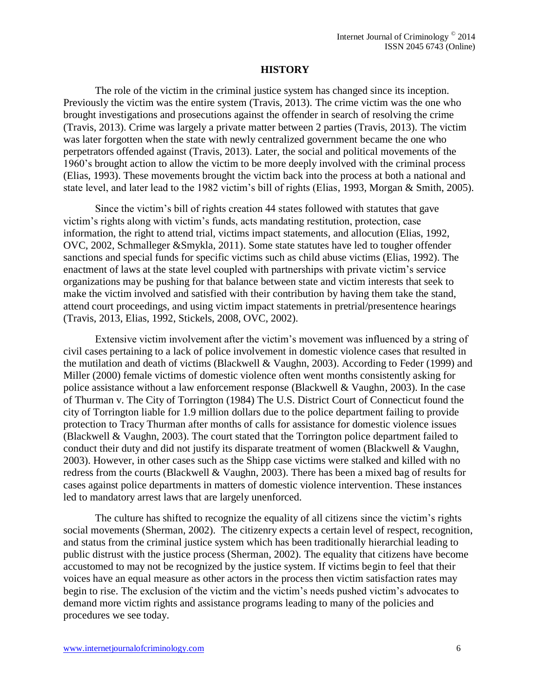## **HISTORY**

The role of the victim in the criminal justice system has changed since its inception. Previously the victim was the entire system (Travis, 2013). The crime victim was the one who brought investigations and prosecutions against the offender in search of resolving the crime (Travis, 2013). Crime was largely a private matter between 2 parties (Travis, 2013). The victim was later forgotten when the state with newly centralized government became the one who perpetrators offended against (Travis, 2013). Later, the social and political movements of the 1960's brought action to allow the victim to be more deeply involved with the criminal process (Elias, 1993). These movements brought the victim back into the process at both a national and state level, and later lead to the 1982 victim's bill of rights (Elias, 1993, Morgan & Smith, 2005).

Since the victim's bill of rights creation 44 states followed with statutes that gave victim's rights along with victim's funds, acts mandating restitution, protection, case information, the right to attend trial, victims impact statements, and allocution (Elias, 1992, OVC, 2002, Schmalleger &Smykla, 2011). Some state statutes have led to tougher offender sanctions and special funds for specific victims such as child abuse victims (Elias, 1992). The enactment of laws at the state level coupled with partnerships with private victim's service organizations may be pushing for that balance between state and victim interests that seek to make the victim involved and satisfied with their contribution by having them take the stand, attend court proceedings, and using victim impact statements in pretrial/presentence hearings (Travis, 2013, Elias, 1992, Stickels, 2008, OVC, 2002).

Extensive victim involvement after the victim's movement was influenced by a string of civil cases pertaining to a lack of police involvement in domestic violence cases that resulted in the mutilation and death of victims (Blackwell & Vaughn, 2003). According to Feder (1999) and Miller (2000) female victims of domestic violence often went months consistently asking for police assistance without a law enforcement response (Blackwell & Vaughn, 2003). In the case of Thurman v. The City of Torrington (1984) The U.S. District Court of Connecticut found the city of Torrington liable for 1.9 million dollars due to the police department failing to provide protection to Tracy Thurman after months of calls for assistance for domestic violence issues (Blackwell & Vaughn, 2003). The court stated that the Torrington police department failed to conduct their duty and did not justify its disparate treatment of women (Blackwell & Vaughn, 2003). However, in other cases such as the Shipp case victims were stalked and killed with no redress from the courts (Blackwell & Vaughn, 2003). There has been a mixed bag of results for cases against police departments in matters of domestic violence intervention. These instances led to mandatory arrest laws that are largely unenforced.

The culture has shifted to recognize the equality of all citizens since the victim's rights social movements (Sherman, 2002). The citizenry expects a certain level of respect, recognition, and status from the criminal justice system which has been traditionally hierarchial leading to public distrust with the justice process (Sherman, 2002). The equality that citizens have become accustomed to may not be recognized by the justice system. If victims begin to feel that their voices have an equal measure as other actors in the process then victim satisfaction rates may begin to rise. The exclusion of the victim and the victim's needs pushed victim's advocates to demand more victim rights and assistance programs leading to many of the policies and procedures we see today.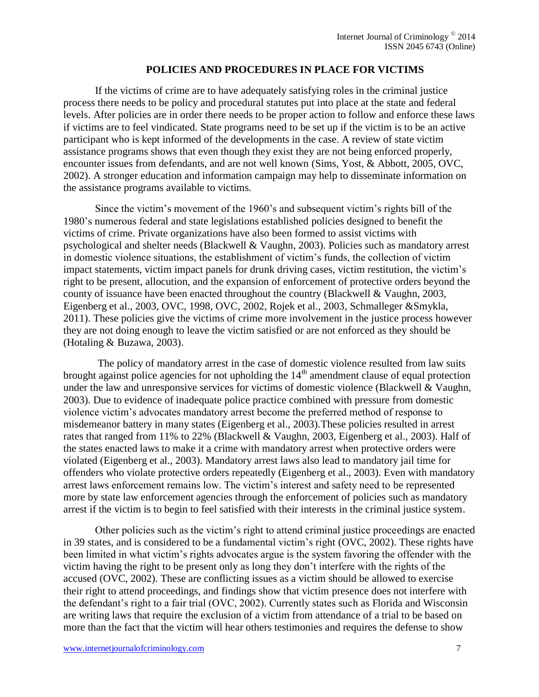## **POLICIES AND PROCEDURES IN PLACE FOR VICTIMS**

If the victims of crime are to have adequately satisfying roles in the criminal justice process there needs to be policy and procedural statutes put into place at the state and federal levels. After policies are in order there needs to be proper action to follow and enforce these laws if victims are to feel vindicated. State programs need to be set up if the victim is to be an active participant who is kept informed of the developments in the case. A review of state victim assistance programs shows that even though they exist they are not being enforced properly, encounter issues from defendants, and are not well known (Sims, Yost, & Abbott, 2005, OVC, 2002). A stronger education and information campaign may help to disseminate information on the assistance programs available to victims.

Since the victim's movement of the 1960's and subsequent victim's rights bill of the 1980's numerous federal and state legislations established policies designed to benefit the victims of crime. Private organizations have also been formed to assist victims with psychological and shelter needs (Blackwell & Vaughn, 2003). Policies such as mandatory arrest in domestic violence situations, the establishment of victim's funds, the collection of victim impact statements, victim impact panels for drunk driving cases, victim restitution, the victim's right to be present, allocution, and the expansion of enforcement of protective orders beyond the county of issuance have been enacted throughout the country (Blackwell & Vaughn, 2003, Eigenberg et al., 2003, OVC, 1998, OVC, 2002, Rojek et al., 2003, Schmalleger &Smykla, 2011). These policies give the victims of crime more involvement in the justice process however they are not doing enough to leave the victim satisfied or are not enforced as they should be (Hotaling & Buzawa, 2003).

The policy of mandatory arrest in the case of domestic violence resulted from law suits brought against police agencies for not upholding the  $14<sup>th</sup>$  amendment clause of equal protection under the law and unresponsive services for victims of domestic violence (Blackwell & Vaughn, 2003). Due to evidence of inadequate police practice combined with pressure from domestic violence victim's advocates mandatory arrest become the preferred method of response to misdemeanor battery in many states (Eigenberg et al., 2003).These policies resulted in arrest rates that ranged from 11% to 22% (Blackwell & Vaughn, 2003, Eigenberg et al., 2003). Half of the states enacted laws to make it a crime with mandatory arrest when protective orders were violated (Eigenberg et al., 2003). Mandatory arrest laws also lead to mandatory jail time for offenders who violate protective orders repeatedly (Eigenberg et al., 2003). Even with mandatory arrest laws enforcement remains low. The victim's interest and safety need to be represented more by state law enforcement agencies through the enforcement of policies such as mandatory arrest if the victim is to begin to feel satisfied with their interests in the criminal justice system.

Other policies such as the victim's right to attend criminal justice proceedings are enacted in 39 states, and is considered to be a fundamental victim's right (OVC, 2002). These rights have been limited in what victim's rights advocates argue is the system favoring the offender with the victim having the right to be present only as long they don't interfere with the rights of the accused (OVC, 2002). These are conflicting issues as a victim should be allowed to exercise their right to attend proceedings, and findings show that victim presence does not interfere with the defendant's right to a fair trial (OVC, 2002). Currently states such as Florida and Wisconsin are writing laws that require the exclusion of a victim from attendance of a trial to be based on more than the fact that the victim will hear others testimonies and requires the defense to show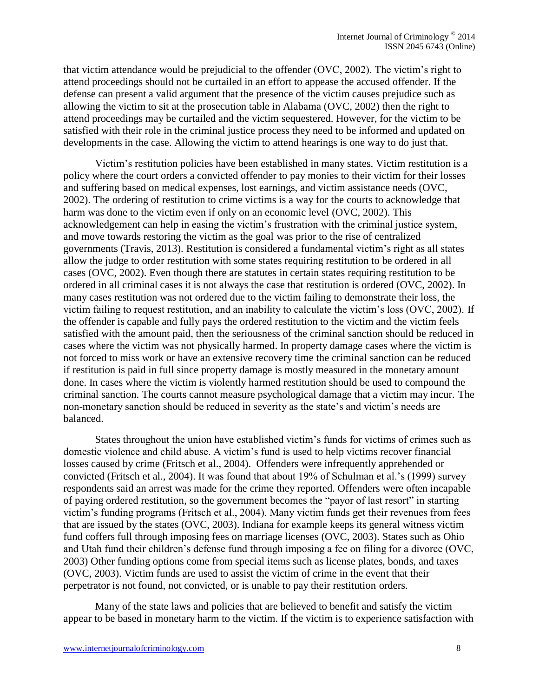that victim attendance would be prejudicial to the offender (OVC, 2002). The victim's right to attend proceedings should not be curtailed in an effort to appease the accused offender. If the defense can present a valid argument that the presence of the victim causes prejudice such as allowing the victim to sit at the prosecution table in Alabama (OVC, 2002) then the right to attend proceedings may be curtailed and the victim sequestered. However, for the victim to be satisfied with their role in the criminal justice process they need to be informed and updated on developments in the case. Allowing the victim to attend hearings is one way to do just that.

Victim's restitution policies have been established in many states. Victim restitution is a policy where the court orders a convicted offender to pay monies to their victim for their losses and suffering based on medical expenses, lost earnings, and victim assistance needs (OVC, 2002). The ordering of restitution to crime victims is a way for the courts to acknowledge that harm was done to the victim even if only on an economic level (OVC, 2002). This acknowledgement can help in easing the victim's frustration with the criminal justice system, and move towards restoring the victim as the goal was prior to the rise of centralized governments (Travis, 2013). Restitution is considered a fundamental victim's right as all states allow the judge to order restitution with some states requiring restitution to be ordered in all cases (OVC, 2002). Even though there are statutes in certain states requiring restitution to be ordered in all criminal cases it is not always the case that restitution is ordered (OVC, 2002). In many cases restitution was not ordered due to the victim failing to demonstrate their loss, the victim failing to request restitution, and an inability to calculate the victim's loss (OVC, 2002). If the offender is capable and fully pays the ordered restitution to the victim and the victim feels satisfied with the amount paid, then the seriousness of the criminal sanction should be reduced in cases where the victim was not physically harmed. In property damage cases where the victim is not forced to miss work or have an extensive recovery time the criminal sanction can be reduced if restitution is paid in full since property damage is mostly measured in the monetary amount done. In cases where the victim is violently harmed restitution should be used to compound the criminal sanction. The courts cannot measure psychological damage that a victim may incur. The non-monetary sanction should be reduced in severity as the state's and victim's needs are balanced.

States throughout the union have established victim's funds for victims of crimes such as domestic violence and child abuse. A victim's fund is used to help victims recover financial losses caused by crime (Fritsch et al., 2004). Offenders were infrequently apprehended or convicted (Fritsch et al., 2004). It was found that about 19% of Schulman et al.'s (1999) survey respondents said an arrest was made for the crime they reported. Offenders were often incapable of paying ordered restitution, so the government becomes the "payor of last resort" in starting victim's funding programs (Fritsch et al., 2004). Many victim funds get their revenues from fees that are issued by the states (OVC, 2003). Indiana for example keeps its general witness victim fund coffers full through imposing fees on marriage licenses (OVC, 2003). States such as Ohio and Utah fund their children's defense fund through imposing a fee on filing for a divorce (OVC, 2003) Other funding options come from special items such as license plates, bonds, and taxes (OVC, 2003). Victim funds are used to assist the victim of crime in the event that their perpetrator is not found, not convicted, or is unable to pay their restitution orders.

Many of the state laws and policies that are believed to benefit and satisfy the victim appear to be based in monetary harm to the victim. If the victim is to experience satisfaction with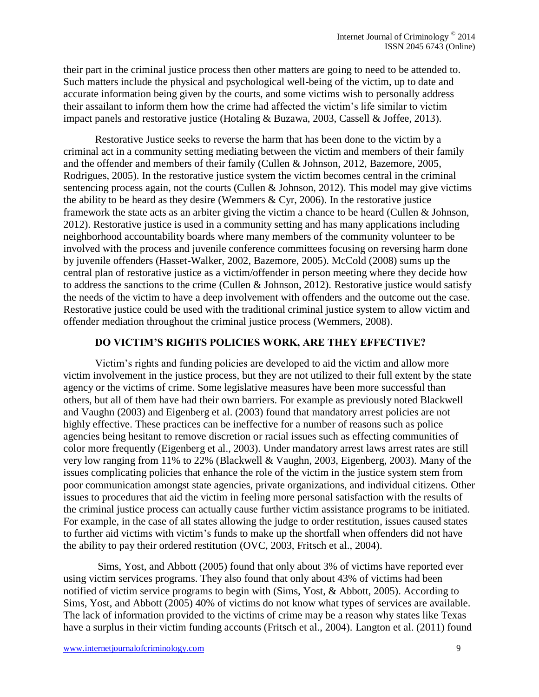their part in the criminal justice process then other matters are going to need to be attended to. Such matters include the physical and psychological well-being of the victim, up to date and accurate information being given by the courts, and some victims wish to personally address their assailant to inform them how the crime had affected the victim's life similar to victim impact panels and restorative justice (Hotaling & Buzawa, 2003, Cassell & Joffee, 2013).

Restorative Justice seeks to reverse the harm that has been done to the victim by a criminal act in a community setting mediating between the victim and members of their family and the offender and members of their family (Cullen & Johnson, 2012, Bazemore, 2005, Rodrigues, 2005). In the restorative justice system the victim becomes central in the criminal sentencing process again, not the courts (Cullen & Johnson, 2012). This model may give victims the ability to be heard as they desire (Wemmers  $& Cyr$ , 2006). In the restorative justice framework the state acts as an arbiter giving the victim a chance to be heard (Cullen & Johnson, 2012). Restorative justice is used in a community setting and has many applications including neighborhood accountability boards where many members of the community volunteer to be involved with the process and juvenile conference committees focusing on reversing harm done by juvenile offenders (Hasset-Walker, 2002, Bazemore, 2005). McCold (2008) sums up the central plan of restorative justice as a victim/offender in person meeting where they decide how to address the sanctions to the crime (Cullen & Johnson, 2012). Restorative justice would satisfy the needs of the victim to have a deep involvement with offenders and the outcome out the case. Restorative justice could be used with the traditional criminal justice system to allow victim and offender mediation throughout the criminal justice process (Wemmers, 2008).

## **DO VICTIM'S RIGHTS POLICIES WORK, ARE THEY EFFECTIVE?**

Victim's rights and funding policies are developed to aid the victim and allow more victim involvement in the justice process, but they are not utilized to their full extent by the state agency or the victims of crime. Some legislative measures have been more successful than others, but all of them have had their own barriers. For example as previously noted Blackwell and Vaughn (2003) and Eigenberg et al. (2003) found that mandatory arrest policies are not highly effective. These practices can be ineffective for a number of reasons such as police agencies being hesitant to remove discretion or racial issues such as effecting communities of color more frequently (Eigenberg et al., 2003). Under mandatory arrest laws arrest rates are still very low ranging from 11% to 22% (Blackwell & Vaughn, 2003, Eigenberg, 2003). Many of the issues complicating policies that enhance the role of the victim in the justice system stem from poor communication amongst state agencies, private organizations, and individual citizens. Other issues to procedures that aid the victim in feeling more personal satisfaction with the results of the criminal justice process can actually cause further victim assistance programs to be initiated. For example, in the case of all states allowing the judge to order restitution, issues caused states to further aid victims with victim's funds to make up the shortfall when offenders did not have the ability to pay their ordered restitution (OVC, 2003, Fritsch et al., 2004).

Sims, Yost, and Abbott (2005) found that only about 3% of victims have reported ever using victim services programs. They also found that only about 43% of victims had been notified of victim service programs to begin with (Sims, Yost, & Abbott, 2005). According to Sims, Yost, and Abbott (2005) 40% of victims do not know what types of services are available. The lack of information provided to the victims of crime may be a reason why states like Texas have a surplus in their victim funding accounts (Fritsch et al., 2004). Langton et al. (2011) found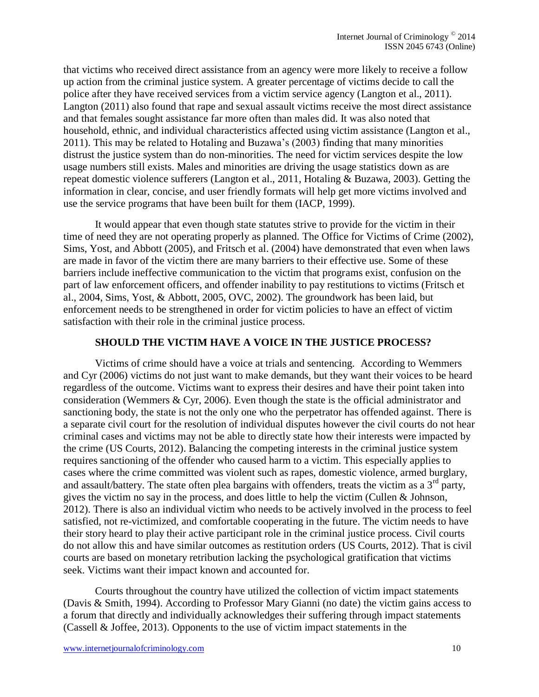that victims who received direct assistance from an agency were more likely to receive a follow up action from the criminal justice system. A greater percentage of victims decide to call the police after they have received services from a victim service agency (Langton et al., 2011). Langton (2011) also found that rape and sexual assault victims receive the most direct assistance and that females sought assistance far more often than males did. It was also noted that household, ethnic, and individual characteristics affected using victim assistance (Langton et al., 2011). This may be related to Hotaling and Buzawa's (2003) finding that many minorities distrust the justice system than do non-minorities. The need for victim services despite the low usage numbers still exists. Males and minorities are driving the usage statistics down as are repeat domestic violence sufferers (Langton et al., 2011, Hotaling & Buzawa, 2003). Getting the information in clear, concise, and user friendly formats will help get more victims involved and use the service programs that have been built for them (IACP, 1999).

It would appear that even though state statutes strive to provide for the victim in their time of need they are not operating properly as planned. The Office for Victims of Crime (2002), Sims, Yost, and Abbott (2005), and Fritsch et al. (2004) have demonstrated that even when laws are made in favor of the victim there are many barriers to their effective use. Some of these barriers include ineffective communication to the victim that programs exist, confusion on the part of law enforcement officers, and offender inability to pay restitutions to victims (Fritsch et al., 2004, Sims, Yost, & Abbott, 2005, OVC, 2002). The groundwork has been laid, but enforcement needs to be strengthened in order for victim policies to have an effect of victim satisfaction with their role in the criminal justice process.

## **SHOULD THE VICTIM HAVE A VOICE IN THE JUSTICE PROCESS?**

Victims of crime should have a voice at trials and sentencing. According to Wemmers and Cyr (2006) victims do not just want to make demands, but they want their voices to be heard regardless of the outcome. Victims want to express their desires and have their point taken into consideration (Wemmers & Cyr, 2006). Even though the state is the official administrator and sanctioning body, the state is not the only one who the perpetrator has offended against. There is a separate civil court for the resolution of individual disputes however the civil courts do not hear criminal cases and victims may not be able to directly state how their interests were impacted by the crime (US Courts, 2012). Balancing the competing interests in the criminal justice system requires sanctioning of the offender who caused harm to a victim. This especially applies to cases where the crime committed was violent such as rapes, domestic violence, armed burglary, and assault/battery. The state often plea bargains with offenders, treats the victim as a  $3<sup>rd</sup>$  party, gives the victim no say in the process, and does little to help the victim (Cullen & Johnson, 2012). There is also an individual victim who needs to be actively involved in the process to feel satisfied, not re-victimized, and comfortable cooperating in the future. The victim needs to have their story heard to play their active participant role in the criminal justice process. Civil courts do not allow this and have similar outcomes as restitution orders (US Courts, 2012). That is civil courts are based on monetary retribution lacking the psychological gratification that victims seek. Victims want their impact known and accounted for.

Courts throughout the country have utilized the collection of victim impact statements (Davis & Smith, 1994). According to Professor Mary Gianni (no date) the victim gains access to a forum that directly and individually acknowledges their suffering through impact statements (Cassell & Joffee, 2013). Opponents to the use of victim impact statements in the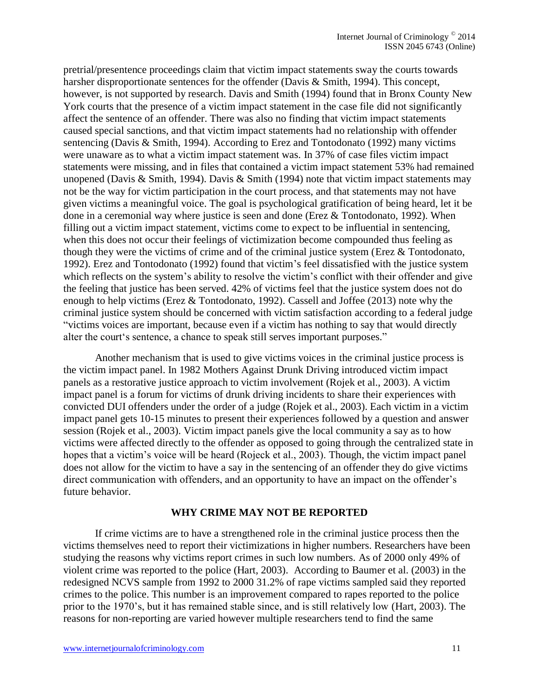pretrial/presentence proceedings claim that victim impact statements sway the courts towards harsher disproportionate sentences for the offender (Davis & Smith, 1994). This concept, however, is not supported by research. Davis and Smith (1994) found that in Bronx County New York courts that the presence of a victim impact statement in the case file did not significantly affect the sentence of an offender. There was also no finding that victim impact statements caused special sanctions, and that victim impact statements had no relationship with offender sentencing (Davis & Smith, 1994). According to Erez and Tontodonato (1992) many victims were unaware as to what a victim impact statement was. In 37% of case files victim impact statements were missing, and in files that contained a victim impact statement 53% had remained unopened (Davis & Smith, 1994). Davis & Smith (1994) note that victim impact statements may not be the way for victim participation in the court process, and that statements may not have given victims a meaningful voice. The goal is psychological gratification of being heard, let it be done in a ceremonial way where justice is seen and done (Erez & Tontodonato, 1992). When filling out a victim impact statement, victims come to expect to be influential in sentencing, when this does not occur their feelings of victimization become compounded thus feeling as though they were the victims of crime and of the criminal justice system (Erez & Tontodonato, 1992). Erez and Tontodonato (1992) found that victim's feel dissatisfied with the justice system which reflects on the system's ability to resolve the victim's conflict with their offender and give the feeling that justice has been served. 42% of victims feel that the justice system does not do enough to help victims (Erez & Tontodonato, 1992). Cassell and Joffee (2013) note why the criminal justice system should be concerned with victim satisfaction according to a federal judge "victims voices are important, because even if a victim has nothing to say that would directly alter the court's sentence, a chance to speak still serves important purposes."

Another mechanism that is used to give victims voices in the criminal justice process is the victim impact panel. In 1982 Mothers Against Drunk Driving introduced victim impact panels as a restorative justice approach to victim involvement (Rojek et al., 2003). A victim impact panel is a forum for victims of drunk driving incidents to share their experiences with convicted DUI offenders under the order of a judge (Rojek et al., 2003). Each victim in a victim impact panel gets 10-15 minutes to present their experiences followed by a question and answer session (Rojek et al., 2003). Victim impact panels give the local community a say as to how victims were affected directly to the offender as opposed to going through the centralized state in hopes that a victim's voice will be heard (Rojeck et al., 2003). Though, the victim impact panel does not allow for the victim to have a say in the sentencing of an offender they do give victims direct communication with offenders, and an opportunity to have an impact on the offender's future behavior.

## **WHY CRIME MAY NOT BE REPORTED**

If crime victims are to have a strengthened role in the criminal justice process then the victims themselves need to report their victimizations in higher numbers. Researchers have been studying the reasons why victims report crimes in such low numbers. As of 2000 only 49% of violent crime was reported to the police (Hart, 2003). According to Baumer et al. (2003) in the redesigned NCVS sample from 1992 to 2000 31.2% of rape victims sampled said they reported crimes to the police. This number is an improvement compared to rapes reported to the police prior to the 1970's, but it has remained stable since, and is still relatively low (Hart, 2003). The reasons for non-reporting are varied however multiple researchers tend to find the same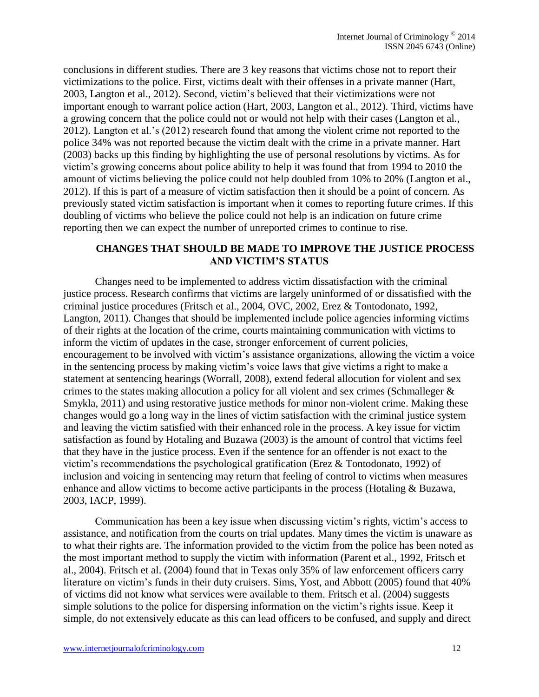conclusions in different studies. There are 3 key reasons that victims chose not to report their victimizations to the police. First, victims dealt with their offenses in a private manner (Hart, 2003, Langton et al., 2012). Second, victim's believed that their victimizations were not important enough to warrant police action (Hart, 2003, Langton et al., 2012). Third, victims have a growing concern that the police could not or would not help with their cases (Langton et al., 2012). Langton et al.'s (2012) research found that among the violent crime not reported to the police 34% was not reported because the victim dealt with the crime in a private manner. Hart (2003) backs up this finding by highlighting the use of personal resolutions by victims. As for victim's growing concerns about police ability to help it was found that from 1994 to 2010 the amount of victims believing the police could not help doubled from 10% to 20% (Langton et al., 2012). If this is part of a measure of victim satisfaction then it should be a point of concern. As previously stated victim satisfaction is important when it comes to reporting future crimes. If this doubling of victims who believe the police could not help is an indication on future crime reporting then we can expect the number of unreported crimes to continue to rise.

# **CHANGES THAT SHOULD BE MADE TO IMPROVE THE JUSTICE PROCESS AND VICTIM'S STATUS**

Changes need to be implemented to address victim dissatisfaction with the criminal justice process. Research confirms that victims are largely uninformed of or dissatisfied with the criminal justice procedures (Fritsch et al., 2004, OVC, 2002, Erez & Tontodonato, 1992, Langton, 2011). Changes that should be implemented include police agencies informing victims of their rights at the location of the crime, courts maintaining communication with victims to inform the victim of updates in the case, stronger enforcement of current policies, encouragement to be involved with victim's assistance organizations, allowing the victim a voice in the sentencing process by making victim's voice laws that give victims a right to make a statement at sentencing hearings (Worrall, 2008), extend federal allocution for violent and sex crimes to the states making allocution a policy for all violent and sex crimes (Schmalleger  $\&$ Smykla, 2011) and using restorative justice methods for minor non-violent crime. Making these changes would go a long way in the lines of victim satisfaction with the criminal justice system and leaving the victim satisfied with their enhanced role in the process. A key issue for victim satisfaction as found by Hotaling and Buzawa (2003) is the amount of control that victims feel that they have in the justice process. Even if the sentence for an offender is not exact to the victim's recommendations the psychological gratification (Erez & Tontodonato, 1992) of inclusion and voicing in sentencing may return that feeling of control to victims when measures enhance and allow victims to become active participants in the process (Hotaling & Buzawa, 2003, IACP, 1999).

Communication has been a key issue when discussing victim's rights, victim's access to assistance, and notification from the courts on trial updates. Many times the victim is unaware as to what their rights are. The information provided to the victim from the police has been noted as the most important method to supply the victim with information (Parent et al., 1992, Fritsch et al., 2004). Fritsch et al. (2004) found that in Texas only 35% of law enforcement officers carry literature on victim's funds in their duty cruisers. Sims, Yost, and Abbott (2005) found that 40% of victims did not know what services were available to them. Fritsch et al. (2004) suggests simple solutions to the police for dispersing information on the victim's rights issue. Keep it simple, do not extensively educate as this can lead officers to be confused, and supply and direct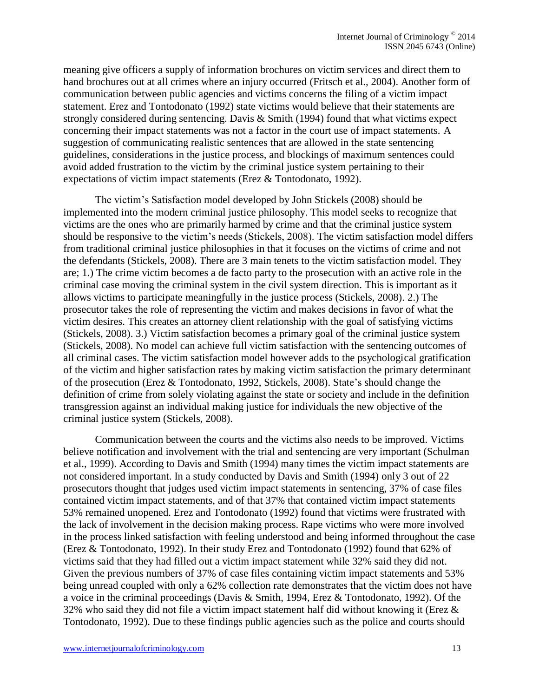meaning give officers a supply of information brochures on victim services and direct them to hand brochures out at all crimes where an injury occurred (Fritsch et al., 2004). Another form of communication between public agencies and victims concerns the filing of a victim impact statement. Erez and Tontodonato (1992) state victims would believe that their statements are strongly considered during sentencing. Davis & Smith (1994) found that what victims expect concerning their impact statements was not a factor in the court use of impact statements. A suggestion of communicating realistic sentences that are allowed in the state sentencing guidelines, considerations in the justice process, and blockings of maximum sentences could avoid added frustration to the victim by the criminal justice system pertaining to their expectations of victim impact statements (Erez & Tontodonato, 1992).

The victim's Satisfaction model developed by John Stickels (2008) should be implemented into the modern criminal justice philosophy. This model seeks to recognize that victims are the ones who are primarily harmed by crime and that the criminal justice system should be responsive to the victim's needs (Stickels, 2008). The victim satisfaction model differs from traditional criminal justice philosophies in that it focuses on the victims of crime and not the defendants (Stickels, 2008). There are 3 main tenets to the victim satisfaction model. They are; 1.) The crime victim becomes a de facto party to the prosecution with an active role in the criminal case moving the criminal system in the civil system direction. This is important as it allows victims to participate meaningfully in the justice process (Stickels, 2008). 2.) The prosecutor takes the role of representing the victim and makes decisions in favor of what the victim desires. This creates an attorney client relationship with the goal of satisfying victims (Stickels, 2008). 3.) Victim satisfaction becomes a primary goal of the criminal justice system (Stickels, 2008). No model can achieve full victim satisfaction with the sentencing outcomes of all criminal cases. The victim satisfaction model however adds to the psychological gratification of the victim and higher satisfaction rates by making victim satisfaction the primary determinant of the prosecution (Erez & Tontodonato, 1992, Stickels, 2008). State's should change the definition of crime from solely violating against the state or society and include in the definition transgression against an individual making justice for individuals the new objective of the criminal justice system (Stickels, 2008).

Communication between the courts and the victims also needs to be improved. Victims believe notification and involvement with the trial and sentencing are very important (Schulman et al., 1999). According to Davis and Smith (1994) many times the victim impact statements are not considered important. In a study conducted by Davis and Smith (1994) only 3 out of 22 prosecutors thought that judges used victim impact statements in sentencing, 37% of case files contained victim impact statements, and of that 37% that contained victim impact statements 53% remained unopened. Erez and Tontodonato (1992) found that victims were frustrated with the lack of involvement in the decision making process. Rape victims who were more involved in the process linked satisfaction with feeling understood and being informed throughout the case (Erez & Tontodonato, 1992). In their study Erez and Tontodonato (1992) found that 62% of victims said that they had filled out a victim impact statement while 32% said they did not. Given the previous numbers of 37% of case files containing victim impact statements and 53% being unread coupled with only a 62% collection rate demonstrates that the victim does not have a voice in the criminal proceedings (Davis & Smith, 1994, Erez & Tontodonato, 1992). Of the 32% who said they did not file a victim impact statement half did without knowing it (Erez  $\&$ Tontodonato, 1992). Due to these findings public agencies such as the police and courts should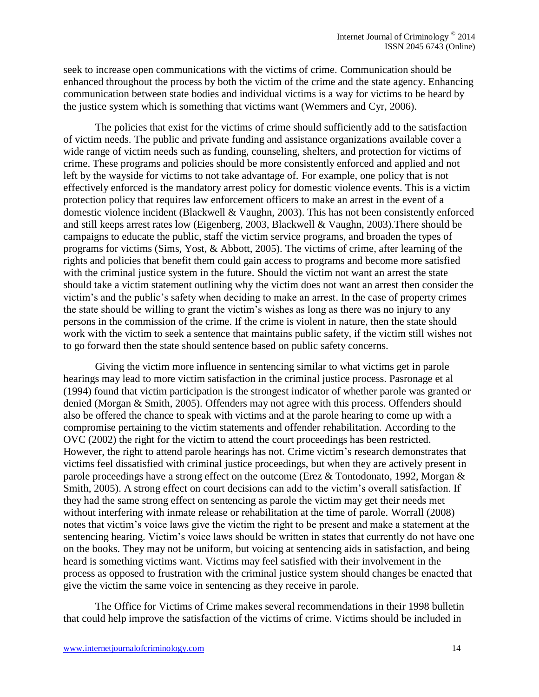seek to increase open communications with the victims of crime. Communication should be enhanced throughout the process by both the victim of the crime and the state agency. Enhancing communication between state bodies and individual victims is a way for victims to be heard by the justice system which is something that victims want (Wemmers and Cyr, 2006).

The policies that exist for the victims of crime should sufficiently add to the satisfaction of victim needs. The public and private funding and assistance organizations available cover a wide range of victim needs such as funding, counseling, shelters, and protection for victims of crime. These programs and policies should be more consistently enforced and applied and not left by the wayside for victims to not take advantage of. For example, one policy that is not effectively enforced is the mandatory arrest policy for domestic violence events. This is a victim protection policy that requires law enforcement officers to make an arrest in the event of a domestic violence incident (Blackwell & Vaughn, 2003). This has not been consistently enforced and still keeps arrest rates low (Eigenberg, 2003, Blackwell & Vaughn, 2003).There should be campaigns to educate the public, staff the victim service programs, and broaden the types of programs for victims (Sims, Yost, & Abbott, 2005). The victims of crime, after learning of the rights and policies that benefit them could gain access to programs and become more satisfied with the criminal justice system in the future. Should the victim not want an arrest the state should take a victim statement outlining why the victim does not want an arrest then consider the victim's and the public's safety when deciding to make an arrest. In the case of property crimes the state should be willing to grant the victim's wishes as long as there was no injury to any persons in the commission of the crime. If the crime is violent in nature, then the state should work with the victim to seek a sentence that maintains public safety, if the victim still wishes not to go forward then the state should sentence based on public safety concerns.

Giving the victim more influence in sentencing similar to what victims get in parole hearings may lead to more victim satisfaction in the criminal justice process. Pasronage et al (1994) found that victim participation is the strongest indicator of whether parole was granted or denied (Morgan & Smith, 2005). Offenders may not agree with this process. Offenders should also be offered the chance to speak with victims and at the parole hearing to come up with a compromise pertaining to the victim statements and offender rehabilitation. According to the OVC (2002) the right for the victim to attend the court proceedings has been restricted. However, the right to attend parole hearings has not. Crime victim's research demonstrates that victims feel dissatisfied with criminal justice proceedings, but when they are actively present in parole proceedings have a strong effect on the outcome (Erez & Tontodonato, 1992, Morgan & Smith, 2005). A strong effect on court decisions can add to the victim's overall satisfaction. If they had the same strong effect on sentencing as parole the victim may get their needs met without interfering with inmate release or rehabilitation at the time of parole. Worrall (2008) notes that victim's voice laws give the victim the right to be present and make a statement at the sentencing hearing. Victim's voice laws should be written in states that currently do not have one on the books. They may not be uniform, but voicing at sentencing aids in satisfaction, and being heard is something victims want. Victims may feel satisfied with their involvement in the process as opposed to frustration with the criminal justice system should changes be enacted that give the victim the same voice in sentencing as they receive in parole.

The Office for Victims of Crime makes several recommendations in their 1998 bulletin that could help improve the satisfaction of the victims of crime. Victims should be included in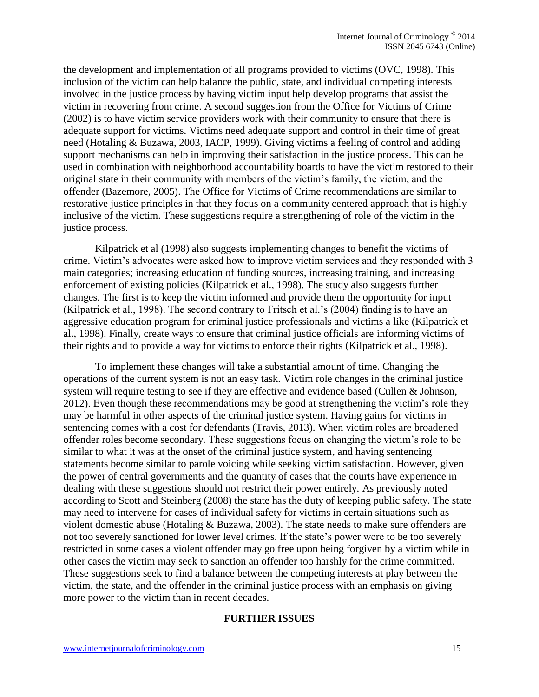the development and implementation of all programs provided to victims (OVC, 1998). This inclusion of the victim can help balance the public, state, and individual competing interests involved in the justice process by having victim input help develop programs that assist the victim in recovering from crime. A second suggestion from the Office for Victims of Crime (2002) is to have victim service providers work with their community to ensure that there is adequate support for victims. Victims need adequate support and control in their time of great need (Hotaling & Buzawa, 2003, IACP, 1999). Giving victims a feeling of control and adding support mechanisms can help in improving their satisfaction in the justice process. This can be used in combination with neighborhood accountability boards to have the victim restored to their original state in their community with members of the victim's family, the victim, and the offender (Bazemore, 2005). The Office for Victims of Crime recommendations are similar to restorative justice principles in that they focus on a community centered approach that is highly inclusive of the victim. These suggestions require a strengthening of role of the victim in the justice process.

Kilpatrick et al (1998) also suggests implementing changes to benefit the victims of crime. Victim's advocates were asked how to improve victim services and they responded with 3 main categories; increasing education of funding sources, increasing training, and increasing enforcement of existing policies (Kilpatrick et al., 1998). The study also suggests further changes. The first is to keep the victim informed and provide them the opportunity for input (Kilpatrick et al., 1998). The second contrary to Fritsch et al.'s (2004) finding is to have an aggressive education program for criminal justice professionals and victims a like (Kilpatrick et al., 1998). Finally, create ways to ensure that criminal justice officials are informing victims of their rights and to provide a way for victims to enforce their rights (Kilpatrick et al., 1998).

To implement these changes will take a substantial amount of time. Changing the operations of the current system is not an easy task. Victim role changes in the criminal justice system will require testing to see if they are effective and evidence based (Cullen & Johnson, 2012). Even though these recommendations may be good at strengthening the victim's role they may be harmful in other aspects of the criminal justice system. Having gains for victims in sentencing comes with a cost for defendants (Travis, 2013). When victim roles are broadened offender roles become secondary. These suggestions focus on changing the victim's role to be similar to what it was at the onset of the criminal justice system, and having sentencing statements become similar to parole voicing while seeking victim satisfaction. However, given the power of central governments and the quantity of cases that the courts have experience in dealing with these suggestions should not restrict their power entirely. As previously noted according to Scott and Steinberg (2008) the state has the duty of keeping public safety. The state may need to intervene for cases of individual safety for victims in certain situations such as violent domestic abuse (Hotaling & Buzawa, 2003). The state needs to make sure offenders are not too severely sanctioned for lower level crimes. If the state's power were to be too severely restricted in some cases a violent offender may go free upon being forgiven by a victim while in other cases the victim may seek to sanction an offender too harshly for the crime committed. These suggestions seek to find a balance between the competing interests at play between the victim, the state, and the offender in the criminal justice process with an emphasis on giving more power to the victim than in recent decades.

#### **FURTHER ISSUES**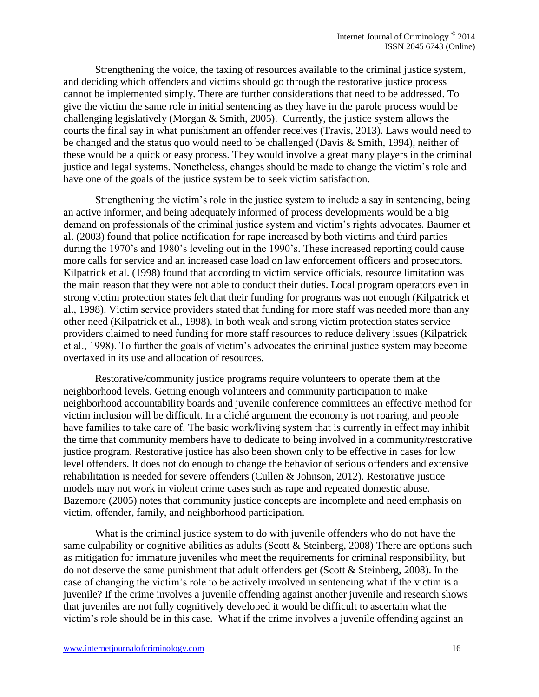Strengthening the voice, the taxing of resources available to the criminal justice system, and deciding which offenders and victims should go through the restorative justice process cannot be implemented simply. There are further considerations that need to be addressed. To give the victim the same role in initial sentencing as they have in the parole process would be challenging legislatively (Morgan & Smith, 2005). Currently, the justice system allows the courts the final say in what punishment an offender receives (Travis, 2013). Laws would need to be changed and the status quo would need to be challenged (Davis & Smith, 1994), neither of these would be a quick or easy process. They would involve a great many players in the criminal justice and legal systems. Nonetheless, changes should be made to change the victim's role and have one of the goals of the justice system be to seek victim satisfaction.

Strengthening the victim's role in the justice system to include a say in sentencing, being an active informer, and being adequately informed of process developments would be a big demand on professionals of the criminal justice system and victim's rights advocates. Baumer et al. (2003) found that police notification for rape increased by both victims and third parties during the 1970's and 1980's leveling out in the 1990's. These increased reporting could cause more calls for service and an increased case load on law enforcement officers and prosecutors. Kilpatrick et al. (1998) found that according to victim service officials, resource limitation was the main reason that they were not able to conduct their duties. Local program operators even in strong victim protection states felt that their funding for programs was not enough (Kilpatrick et al., 1998). Victim service providers stated that funding for more staff was needed more than any other need (Kilpatrick et al., 1998). In both weak and strong victim protection states service providers claimed to need funding for more staff resources to reduce delivery issues (Kilpatrick et al., 1998). To further the goals of victim's advocates the criminal justice system may become overtaxed in its use and allocation of resources.

Restorative/community justice programs require volunteers to operate them at the neighborhood levels. Getting enough volunteers and community participation to make neighborhood accountability boards and juvenile conference committees an effective method for victim inclusion will be difficult. In a cliché argument the economy is not roaring, and people have families to take care of. The basic work/living system that is currently in effect may inhibit the time that community members have to dedicate to being involved in a community/restorative justice program. Restorative justice has also been shown only to be effective in cases for low level offenders. It does not do enough to change the behavior of serious offenders and extensive rehabilitation is needed for severe offenders (Cullen & Johnson, 2012). Restorative justice models may not work in violent crime cases such as rape and repeated domestic abuse. Bazemore (2005) notes that community justice concepts are incomplete and need emphasis on victim, offender, family, and neighborhood participation.

What is the criminal justice system to do with juvenile offenders who do not have the same culpability or cognitive abilities as adults (Scott & Steinberg, 2008) There are options such as mitigation for immature juveniles who meet the requirements for criminal responsibility, but do not deserve the same punishment that adult offenders get (Scott & Steinberg, 2008). In the case of changing the victim's role to be actively involved in sentencing what if the victim is a juvenile? If the crime involves a juvenile offending against another juvenile and research shows that juveniles are not fully cognitively developed it would be difficult to ascertain what the victim's role should be in this case. What if the crime involves a juvenile offending against an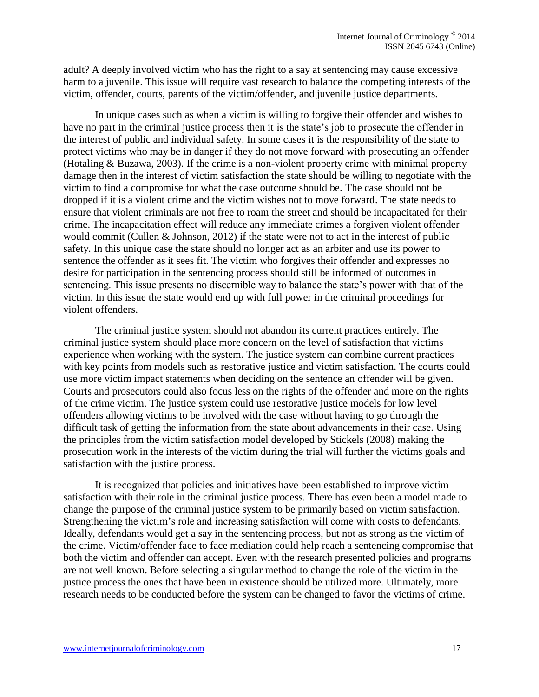adult? A deeply involved victim who has the right to a say at sentencing may cause excessive harm to a juvenile. This issue will require vast research to balance the competing interests of the victim, offender, courts, parents of the victim/offender, and juvenile justice departments.

In unique cases such as when a victim is willing to forgive their offender and wishes to have no part in the criminal justice process then it is the state's job to prosecute the offender in the interest of public and individual safety. In some cases it is the responsibility of the state to protect victims who may be in danger if they do not move forward with prosecuting an offender (Hotaling & Buzawa, 2003). If the crime is a non-violent property crime with minimal property damage then in the interest of victim satisfaction the state should be willing to negotiate with the victim to find a compromise for what the case outcome should be. The case should not be dropped if it is a violent crime and the victim wishes not to move forward. The state needs to ensure that violent criminals are not free to roam the street and should be incapacitated for their crime. The incapacitation effect will reduce any immediate crimes a forgiven violent offender would commit (Cullen & Johnson, 2012) if the state were not to act in the interest of public safety. In this unique case the state should no longer act as an arbiter and use its power to sentence the offender as it sees fit. The victim who forgives their offender and expresses no desire for participation in the sentencing process should still be informed of outcomes in sentencing. This issue presents no discernible way to balance the state's power with that of the victim. In this issue the state would end up with full power in the criminal proceedings for violent offenders.

The criminal justice system should not abandon its current practices entirely. The criminal justice system should place more concern on the level of satisfaction that victims experience when working with the system. The justice system can combine current practices with key points from models such as restorative justice and victim satisfaction. The courts could use more victim impact statements when deciding on the sentence an offender will be given. Courts and prosecutors could also focus less on the rights of the offender and more on the rights of the crime victim. The justice system could use restorative justice models for low level offenders allowing victims to be involved with the case without having to go through the difficult task of getting the information from the state about advancements in their case. Using the principles from the victim satisfaction model developed by Stickels (2008) making the prosecution work in the interests of the victim during the trial will further the victims goals and satisfaction with the justice process.

It is recognized that policies and initiatives have been established to improve victim satisfaction with their role in the criminal justice process. There has even been a model made to change the purpose of the criminal justice system to be primarily based on victim satisfaction. Strengthening the victim's role and increasing satisfaction will come with costs to defendants. Ideally, defendants would get a say in the sentencing process, but not as strong as the victim of the crime. Victim/offender face to face mediation could help reach a sentencing compromise that both the victim and offender can accept. Even with the research presented policies and programs are not well known. Before selecting a singular method to change the role of the victim in the justice process the ones that have been in existence should be utilized more. Ultimately, more research needs to be conducted before the system can be changed to favor the victims of crime.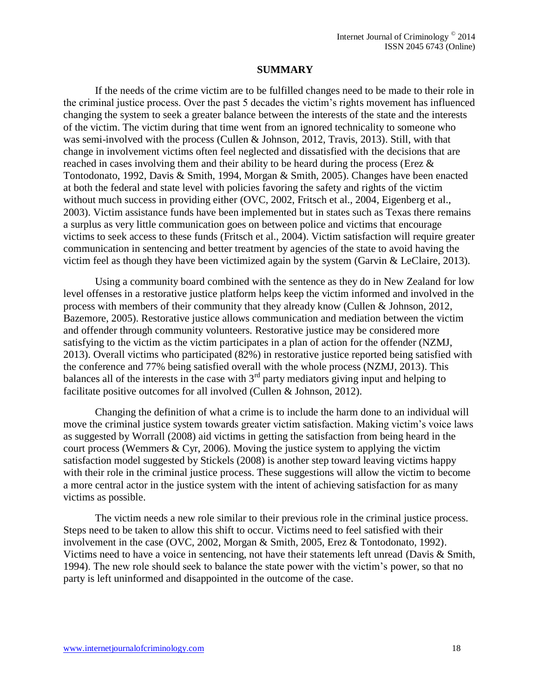## **SUMMARY**

If the needs of the crime victim are to be fulfilled changes need to be made to their role in the criminal justice process. Over the past 5 decades the victim's rights movement has influenced changing the system to seek a greater balance between the interests of the state and the interests of the victim. The victim during that time went from an ignored technicality to someone who was semi-involved with the process (Cullen & Johnson, 2012, Travis, 2013). Still, with that change in involvement victims often feel neglected and dissatisfied with the decisions that are reached in cases involving them and their ability to be heard during the process (Erez & Tontodonato, 1992, Davis & Smith, 1994, Morgan & Smith, 2005). Changes have been enacted at both the federal and state level with policies favoring the safety and rights of the victim without much success in providing either (OVC, 2002, Fritsch et al., 2004, Eigenberg et al., 2003). Victim assistance funds have been implemented but in states such as Texas there remains a surplus as very little communication goes on between police and victims that encourage victims to seek access to these funds (Fritsch et al., 2004). Victim satisfaction will require greater communication in sentencing and better treatment by agencies of the state to avoid having the victim feel as though they have been victimized again by the system (Garvin & LeClaire, 2013).

Using a community board combined with the sentence as they do in New Zealand for low level offenses in a restorative justice platform helps keep the victim informed and involved in the process with members of their community that they already know (Cullen & Johnson, 2012, Bazemore, 2005). Restorative justice allows communication and mediation between the victim and offender through community volunteers. Restorative justice may be considered more satisfying to the victim as the victim participates in a plan of action for the offender (NZMJ, 2013). Overall victims who participated (82%) in restorative justice reported being satisfied with the conference and 77% being satisfied overall with the whole process (NZMJ, 2013). This balances all of the interests in the case with  $3<sup>rd</sup>$  party mediators giving input and helping to facilitate positive outcomes for all involved (Cullen & Johnson, 2012).

Changing the definition of what a crime is to include the harm done to an individual will move the criminal justice system towards greater victim satisfaction. Making victim's voice laws as suggested by Worrall (2008) aid victims in getting the satisfaction from being heard in the court process (Wemmers & Cyr, 2006). Moving the justice system to applying the victim satisfaction model suggested by Stickels (2008) is another step toward leaving victims happy with their role in the criminal justice process. These suggestions will allow the victim to become a more central actor in the justice system with the intent of achieving satisfaction for as many victims as possible.

The victim needs a new role similar to their previous role in the criminal justice process. Steps need to be taken to allow this shift to occur. Victims need to feel satisfied with their involvement in the case (OVC, 2002, Morgan & Smith, 2005, Erez & Tontodonato, 1992). Victims need to have a voice in sentencing, not have their statements left unread (Davis & Smith, 1994). The new role should seek to balance the state power with the victim's power, so that no party is left uninformed and disappointed in the outcome of the case.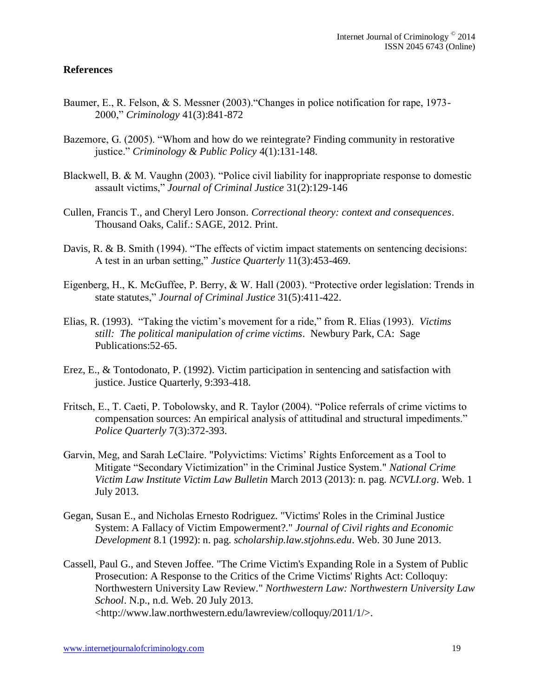## **References**

- Baumer, E., R. Felson, & S. Messner (2003)."Changes in police notification for rape, 1973- 2000," *Criminology* 41(3):841-872
- Bazemore, G. (2005). "Whom and how do we reintegrate? Finding community in restorative justice." *Criminology & Public Policy* 4(1):131-148.
- Blackwell, B. & M. Vaughn (2003). "Police civil liability for inappropriate response to domestic assault victims," *Journal of Criminal Justice* 31(2):129-146
- Cullen, Francis T., and Cheryl Lero Jonson. *Correctional theory: context and consequences*. Thousand Oaks, Calif.: SAGE, 2012. Print.
- Davis, R. & B. Smith (1994). "The effects of victim impact statements on sentencing decisions: A test in an urban setting," *Justice Quarterly* 11(3):453-469.
- Eigenberg, H., K. McGuffee, P. Berry, & W. Hall (2003). "Protective order legislation: Trends in state statutes," *Journal of Criminal Justice* 31(5):411-422.
- Elias, R. (1993). "Taking the victim's movement for a ride," from R. Elias (1993). *Victims still: The political manipulation of crime victims*. Newbury Park, CA: Sage Publications:52-65.
- Erez, E., & Tontodonato, P. (1992). Victim participation in sentencing and satisfaction with justice. Justice Quarterly, 9:393-418.
- Fritsch, E., T. Caeti, P. Tobolowsky, and R. Taylor (2004). "Police referrals of crime victims to compensation sources: An empirical analysis of attitudinal and structural impediments." *Police Quarterly* 7(3):372-393.
- Garvin, Meg, and Sarah LeClaire. "Polyvictims: Victims' Rights Enforcement as a Tool to Mitigate "Secondary Victimization" in the Criminal Justice System." *National Crime Victim Law Institute Victim Law Bulletin* March 2013 (2013): n. pag. *NCVLI.org*. Web. 1 July 2013.
- Gegan, Susan E., and Nicholas Ernesto Rodriguez. "Victims' Roles in the Criminal Justice System: A Fallacy of Victim Empowerment?." *Journal of Civil rights and Economic Development* 8.1 (1992): n. pag. *scholarship.law.stjohns.edu*. Web. 30 June 2013.
- Cassell, Paul G., and Steven Joffee. "The Crime Victim's Expanding Role in a System of Public Prosecution: A Response to the Critics of the Crime Victims' Rights Act: Colloquy: Northwestern University Law Review." *Northwestern Law: Northwestern University Law School*. N.p., n.d. Web. 20 July 2013. <http://www.law.northwestern.edu/lawreview/colloquy/2011/1/>.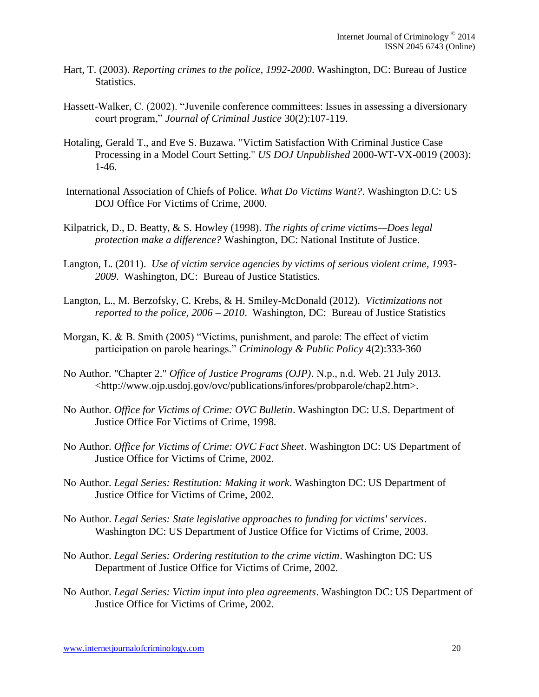- Hart, T. (2003). *Reporting crimes to the police, 1992-2000*. Washington, DC: Bureau of Justice Statistics.
- Hassett-Walker, C. (2002). "Juvenile conference committees: Issues in assessing a diversionary court program," *Journal of Criminal Justice* 30(2):107-119.
- Hotaling, Gerald T., and Eve S. Buzawa. "Victim Satisfaction With Criminal Justice Case Processing in a Model Court Setting." *US DOJ Unpublished* 2000-WT-VX-0019 (2003): 1-46.
- International Association of Chiefs of Police. *What Do Victims Want?*. Washington D.C: US DOJ Office For Victims of Crime, 2000.
- Kilpatrick, D., D. Beatty, & S. Howley (1998). *The rights of crime victims—Does legal protection make a difference?* Washington, DC: National Institute of Justice.
- Langton, L. (2011). *Use of victim service agencies by victims of serious violent crime, 1993- 2009*. Washington, DC: Bureau of Justice Statistics.
- Langton, L., M. Berzofsky, C. Krebs, & H. Smiley-McDonald (2012). *Victimizations not reported to the police, 2006 – 2010*. Washington, DC: Bureau of Justice Statistics
- Morgan, K. & B. Smith (2005) "Victims, punishment, and parole: The effect of victim participation on parole hearings." *Criminology & Public Policy* 4(2):333-360
- No Author. "Chapter 2." *Office of Justice Programs (OJP)*. N.p., n.d. Web. 21 July 2013. <http://www.ojp.usdoj.gov/ovc/publications/infores/probparole/chap2.htm>.
- No Author. *Office for Victims of Crime: OVC Bulletin*. Washington DC: U.S. Department of Justice Office For Victims of Crime, 1998.
- No Author. *Office for Victims of Crime: OVC Fact Sheet*. Washington DC: US Department of Justice Office for Victims of Crime, 2002.
- No Author. *Legal Series: Restitution: Making it work*. Washington DC: US Department of Justice Office for Victims of Crime, 2002.
- No Author. *Legal Series: State legislative approaches to funding for victims' services*. Washington DC: US Department of Justice Office for Victims of Crime, 2003.
- No Author. *Legal Series: Ordering restitution to the crime victim*. Washington DC: US Department of Justice Office for Victims of Crime, 2002.
- No Author. *Legal Series: Victim input into plea agreements*. Washington DC: US Department of Justice Office for Victims of Crime, 2002.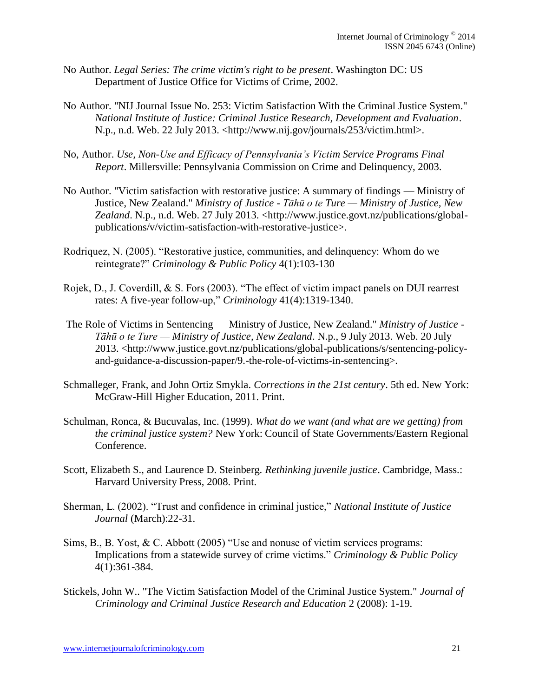- No Author. *Legal Series: The crime victim's right to be present*. Washington DC: US Department of Justice Office for Victims of Crime, 2002.
- No Author. "NIJ Journal Issue No. 253: Victim Satisfaction With the Criminal Justice System." *National Institute of Justice: Criminal Justice Research, Development and Evaluation*. N.p., n.d. Web. 22 July 2013. <http://www.nij.gov/journals/253/victim.html>.
- No, Author. *Use, Non-Use and Efficacy of Pennsylvania's Victim Service Programs Final Report*. Millersville: Pennsylvania Commission on Crime and Delinquency, 2003.
- No Author. "Victim satisfaction with restorative justice: A summary of findings Ministry of Justice, New Zealand." *Ministry of Justice - Tāhū o te Ture — Ministry of Justice, New Zealand*. N.p., n.d. Web. 27 July 2013. <http://www.justice.govt.nz/publications/globalpublications/v/victim-satisfaction-with-restorative-justice>.
- Rodriquez, N. (2005). "Restorative justice, communities, and delinquency: Whom do we reintegrate?" *Criminology & Public Policy* 4(1):103-130
- Rojek, D., J. Coverdill, & S. Fors (2003). "The effect of victim impact panels on DUI rearrest rates: A five-year follow-up," *Criminology* 41(4):1319-1340.
- The Role of Victims in Sentencing Ministry of Justice, New Zealand." *Ministry of Justice - Tāhū o te Ture — Ministry of Justice, New Zealand*. N.p., 9 July 2013. Web. 20 July 2013. <http://www.justice.govt.nz/publications/global-publications/s/sentencing-policyand-guidance-a-discussion-paper/9.-the-role-of-victims-in-sentencing>.
- Schmalleger, Frank, and John Ortiz Smykla. *Corrections in the 21st century*. 5th ed. New York: McGraw-Hill Higher Education, 2011. Print.
- Schulman, Ronca, & Bucuvalas, Inc. (1999). *What do we want (and what are we getting) from the criminal justice system?* New York: Council of State Governments/Eastern Regional Conference.
- Scott, Elizabeth S., and Laurence D. Steinberg. *Rethinking juvenile justice*. Cambridge, Mass.: Harvard University Press, 2008. Print.
- Sherman, L. (2002). "Trust and confidence in criminal justice," *National Institute of Justice Journal* (March):22-31.
- Sims, B., B. Yost, & C. Abbott (2005) "Use and nonuse of victim services programs: Implications from a statewide survey of crime victims." *Criminology & Public Policy* 4(1):361-384.
- Stickels, John W.. "The Victim Satisfaction Model of the Criminal Justice System." *Journal of Criminology and Criminal Justice Research and Education* 2 (2008): 1-19.